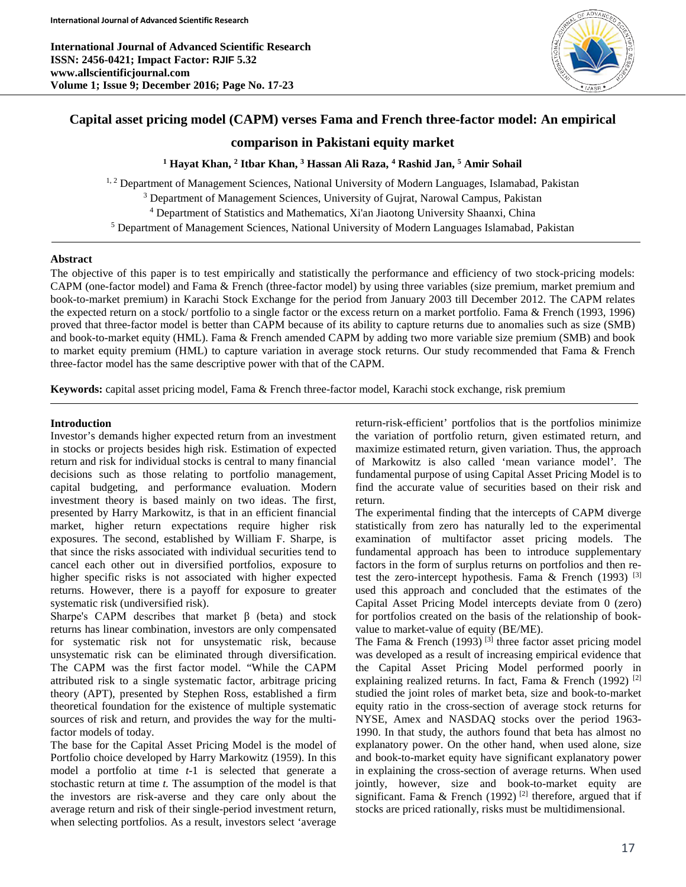**International Journal of Advanced Scientific Research ISSN: 2456-0421; Impact Factor: RJIF 5.32 www.allscientificjournal.com Volume 1; Issue 9; December 2016; Page No. 17-23**



# **Capital asset pricing model (CAPM) verses Fama and French three-factor model: An empirical**

# **comparison in Pakistani equity market**

**<sup>1</sup> Hayat Khan, 2 Itbar Khan, 3 Hassan Ali Raza, 4 Rashid Jan, 5 Amir Sohail**

<sup>1, 2</sup> Department of Management Sciences, National University of Modern Languages, Islamabad, Pakistan <sup>3</sup> Department of Management Sciences, University of Gujrat, Narowal Campus, Pakistan <sup>4</sup> Department of Statistics and Mathematics, Xi'an Jiaotong University Shaanxi, China <sup>5</sup> Department of Management Sciences, National University of Modern Languages Islamabad, Pakistan

# **Abstract**

The objective of this paper is to test empirically and statistically the performance and efficiency of two stock-pricing models: CAPM (one-factor model) and Fama & French (three-factor model) by using three variables (size premium, market premium and book-to-market premium) in Karachi Stock Exchange for the period from January 2003 till December 2012. The CAPM relates the expected return on a stock/ portfolio to a single factor or the excess return on a market portfolio. Fama & French (1993, 1996) proved that three-factor model is better than CAPM because of its ability to capture returns due to anomalies such as size (SMB) and book-to-market equity (HML). Fama & French amended CAPM by adding two more variable size premium (SMB) and book to market equity premium (HML) to capture variation in average stock returns. Our study recommended that Fama & French three-factor model has the same descriptive power with that of the CAPM.

**Keywords:** capital asset pricing model, Fama & French three-factor model, Karachi stock exchange, risk premium

# **Introduction**

Investor's demands higher expected return from an investment in stocks or projects besides high risk. Estimation of expected return and risk for individual stocks is central to many financial decisions such as those relating to portfolio management, capital budgeting, and performance evaluation. Modern investment theory is based mainly on two ideas. The first, presented by Harry Markowitz, is that in an efficient financial market, higher return expectations require higher risk exposures. The second, established by William F. Sharpe, is that since the risks associated with individual securities tend to cancel each other out in diversified portfolios, exposure to higher specific risks is not associated with higher expected returns. However, there is a payoff for exposure to greater systematic risk (undiversified risk).

Sharpe's CAPM describes that market  $\beta$  (beta) and stock returns has linear combination, investors are only compensated for systematic risk not for unsystematic risk, because unsystematic risk can be eliminated through diversification. The CAPM was the first factor model. "While the CAPM attributed risk to a single systematic factor, arbitrage pricing theory (APT), presented by Stephen Ross, established a firm theoretical foundation for the existence of multiple systematic sources of risk and return, and provides the way for the multifactor models of today.

The base for the Capital Asset Pricing Model is the model of Portfolio choice developed by Harry Markowitz (1959). In this model a portfolio at time *t*-1 is selected that generate a stochastic return at time *t.* The assumption of the model is that the investors are risk-averse and they care only about the average return and risk of their single-period investment return, when selecting portfolios. As a result, investors select 'average

return-risk-efficient' portfolios that is the portfolios minimize the variation of portfolio return, given estimated return, and maximize estimated return, given variation. Thus, the approach of Markowitz is also called 'mean variance model'. The fundamental purpose of using Capital Asset Pricing Model is to find the accurate value of securities based on their risk and return.

The experimental finding that the intercepts of CAPM diverge statistically from zero has naturally led to the experimental examination of multifactor asset pricing models. The fundamental approach has been to introduce supplementary factors in the form of surplus returns on portfolios and then retest the zero-intercept hypothesis. Fama & French (1993)<sup>[3]</sup> used this approach and concluded that the estimates of the Capital Asset Pricing Model intercepts deviate from 0 (zero) for portfolios created on the basis of the relationship of bookvalue to market-value of equity (BE/ME).

The Fama & French (1993)<sup>[3]</sup> three factor asset pricing model was developed as a result of increasing empirical evidence that the Capital Asset Pricing Model performed poorly in explaining realized returns. In fact, Fama & French (1992)<sup>[2]</sup> studied the joint roles of market beta, size and book-to-market equity ratio in the cross-section of average stock returns for NYSE, Amex and NASDAQ stocks over the period 1963- 1990. In that study, the authors found that beta has almost no explanatory power. On the other hand, when used alone, size and book-to-market equity have significant explanatory power in explaining the cross-section of average returns. When used jointly, however, size and book-to-market equity are significant. Fama & French (1992)<sup>[2]</sup> therefore, argued that if stocks are priced rationally, risks must be multidimensional.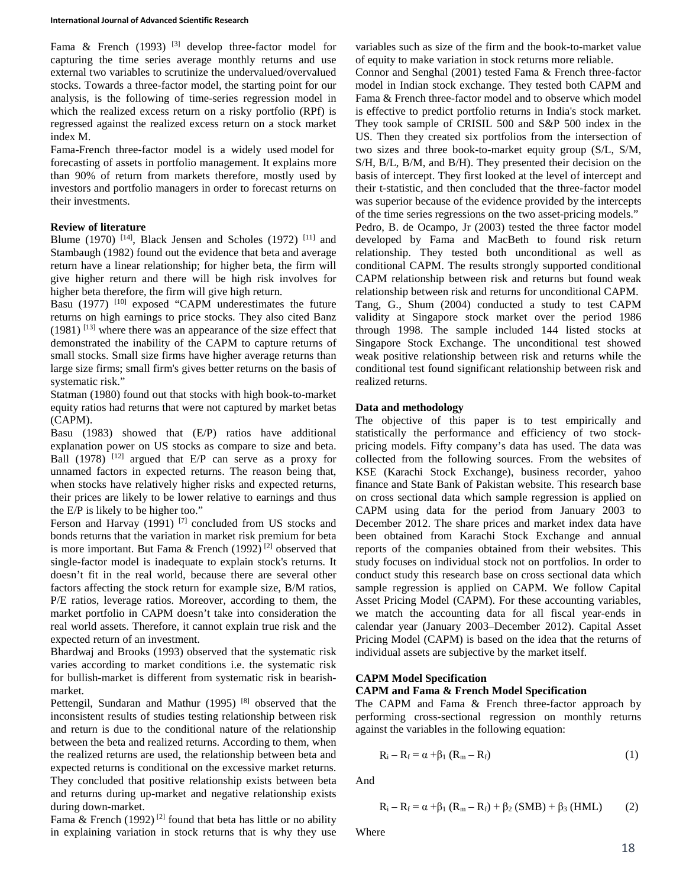Fama & French (1993)  $[3]$  develop three-factor model for capturing the time series average monthly returns and use external two variables to scrutinize the undervalued/overvalued stocks. Towards a three-factor model, the starting point for our analysis, is the following of time-series regression model in which the realized excess return on a risky portfolio (RPf) is regressed against the realized excess return on a stock market index M.

Fama-French three-factor model is a widely used model for forecasting of assets in portfolio management. It explains more than 90% of return from markets therefore, mostly used by investors and portfolio managers in order to forecast returns on their investments.

## **Review of literature**

Blume (1970)  $[14]$ , Black Jensen and Scholes (1972)  $[11]$  and Stambaugh (1982) found out the evidence that beta and average return have a linear relationship; for higher beta, the firm will give higher return and there will be high risk involves for higher beta therefore, the firm will give high return.

Basu  $(1977)$  <sup>[10]</sup> exposed "CAPM underestimates the future returns on high earnings to price stocks. They also cited Banz (1981) [13] where there was an appearance of the size effect that demonstrated the inability of the CAPM to capture returns of small stocks. Small size firms have higher average returns than large size firms; small firm's gives better returns on the basis of systematic risk."

Statman (1980) found out that stocks with high book-to-market equity ratios had returns that were not captured by market betas (CAPM).

Basu (1983) showed that (E/P) ratios have additional explanation power on US stocks as compare to size and beta. Ball  $(1978)$ <sup>[12]</sup> argued that E/P can serve as a proxy for unnamed factors in expected returns. The reason being that, when stocks have relatively higher risks and expected returns, their prices are likely to be lower relative to earnings and thus the E/P is likely to be higher too."

Ferson and Harvay (1991)<sup>[7]</sup> concluded from US stocks and bonds returns that the variation in market risk premium for beta is more important. But Fama & French  $(1992)$ <sup>[2]</sup> observed that single-factor model is inadequate to explain stock's returns. It doesn't fit in the real world, because there are several other factors affecting the stock return for example size, B/M ratios, P/E ratios, leverage ratios. Moreover, according to them, the market portfolio in CAPM doesn't take into consideration the real world assets. Therefore, it cannot explain true risk and the expected return of an investment.

Bhardwaj and Brooks (1993) observed that the systematic risk varies according to market conditions i.e. the systematic risk for bullish-market is different from systematic risk in bearishmarket.

Pettengil, Sundaran and Mathur (1995)<sup>[8]</sup> observed that the inconsistent results of studies testing relationship between risk and return is due to the conditional nature of the relationship between the beta and realized returns. According to them, when the realized returns are used, the relationship between beta and expected returns is conditional on the excessive market returns. They concluded that positive relationship exists between beta and returns during up-market and negative relationship exists during down-market.

Fama & French (1992)<sup>[2]</sup> found that beta has little or no ability in explaining variation in stock returns that is why they use variables such as size of the firm and the book-to-market value of equity to make variation in stock returns more reliable.

Connor and Senghal (2001) tested Fama & French three-factor model in Indian stock exchange. They tested both CAPM and Fama & French three-factor model and to observe which model is effective to predict portfolio returns in India's stock market. They took sample of CRISIL 500 and S&P 500 index in the US. Then they created six portfolios from the intersection of two sizes and three book-to-market equity group (S/L, S/M, S/H, B/L, B/M, and B/H). They presented their decision on the basis of intercept. They first looked at the level of intercept and their t-statistic, and then concluded that the three-factor model was superior because of the evidence provided by the intercepts of the time series regressions on the two asset-pricing models."

Pedro, B. de Ocampo, Jr (2003) tested the three factor model developed by Fama and MacBeth to found risk return relationship. They tested both unconditional as well as conditional CAPM. The results strongly supported conditional CAPM relationship between risk and returns but found weak relationship between risk and returns for unconditional CAPM. Tang, G., Shum (2004) conducted a study to test CAPM validity at Singapore stock market over the period 1986 through 1998. The sample included 144 listed stocks at Singapore Stock Exchange. The unconditional test showed weak positive relationship between risk and returns while the conditional test found significant relationship between risk and realized returns.

# **Data and methodology**

The objective of this paper is to test empirically and statistically the performance and efficiency of two stockpricing models. Fifty company's data has used. The data was collected from the following sources. From the websites of KSE (Karachi Stock Exchange), business recorder, yahoo finance and State Bank of Pakistan website. This research base on cross sectional data which sample regression is applied on CAPM using data for the period from January 2003 to December 2012. The share prices and market index data have been obtained from Karachi Stock Exchange and annual reports of the companies obtained from their websites. This study focuses on individual stock not on portfolios. In order to conduct study this research base on cross sectional data which sample regression is applied on CAPM. We follow Capital Asset Pricing Model (CAPM). For these accounting variables, we match the accounting data for all fiscal year-ends in calendar year (January 2003–December 2012). Capital Asset Pricing Model (CAPM) is based on the idea that the returns of individual assets are subjective by the market itself.

## **CAPM Model Specification CAPM and Fama & French Model Specification**

The CAPM and Fama & French three-factor approach by performing cross-sectional regression on monthly returns against the variables in the following equation:

$$
R_i - R_f = \alpha + \beta_1 (R_m - R_f) \tag{1}
$$

And

$$
R_i - R_f = \alpha + \beta_1 (R_m - R_f) + \beta_2 (SMB) + \beta_3 (HML)
$$
 (2)

Where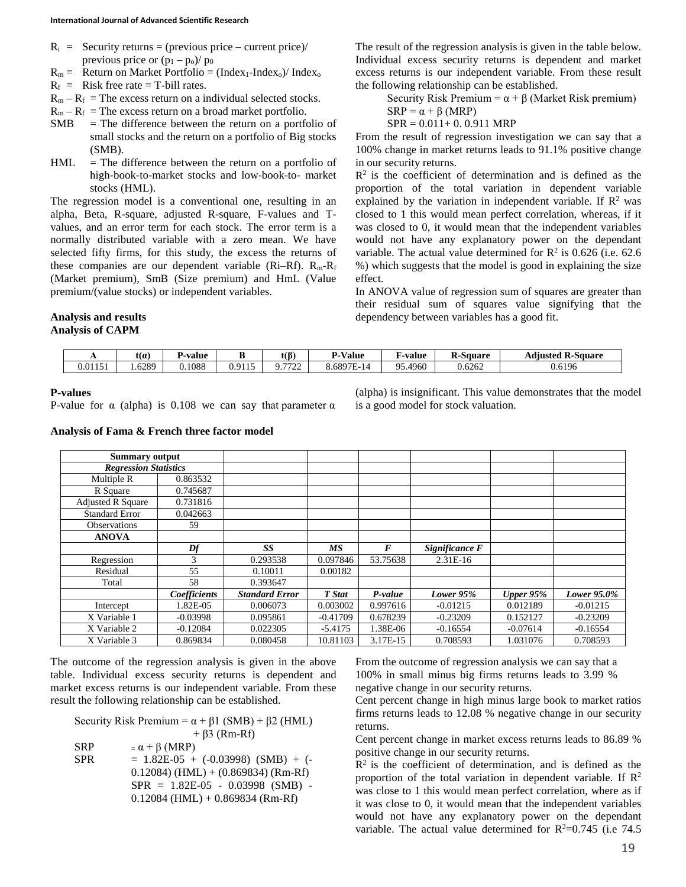#### **International Journal of Advanced Scientific Research**

- $R_i$  = Security returns = (previous price current price)/ previous price or  $(p_1 - p_0)/p_0$
- $R_m$  = Return on Market Portfolio = (Index<sub>1</sub>-Index<sub>0</sub>)/ Index<sub>0</sub>
- $R_f$  = Risk free rate = T-bill rates.
- $R_m R_f$  = The excess return on a individual selected stocks.
- $R_m R_f$  = The excess return on a broad market portfolio.
- $SMB = The difference between the return on a portfolio of$ small stocks and the return on a portfolio of Big stocks (SMB).
- $HML$  = The difference between the return on a portfolio of high-book-to-market stocks and low-book-to- market stocks (HML).

The regression model is a conventional one, resulting in an alpha, Beta, R-square, adjusted R-square, F-values and Tvalues, and an error term for each stock. The error term is a normally distributed variable with a zero mean. We have selected fifty firms, for this study, the excess the returns of these companies are our dependent variable ( $\text{Ri-Rf}$ ).  $\text{R}_{\text{m}}\text{-R}_{\text{f}}$ (Market premium), SmB (Size premium) and HmL (Value premium/(value stocks) or independent variables.

The result of the regression analysis is given in the table below. Individual excess security returns is dependent and market excess returns is our independent variable. From these result the following relationship can be established.

Security Risk Premium =  $\alpha + \beta$  (Market Risk premium)<br>SBB =  $\alpha + \beta$  (MBB)  $\pm$  *β* (MDD)

$$
SKP = \alpha + \beta \text{ (MKP)}
$$
\n
$$
SDP = 0.011 + 0.0.011
$$

 $SPR = 0.011 + 0.0.911$  MRP

From the result of regression investigation we can say that a 100% change in market returns leads to 91.1% positive change in our security returns.

 $R<sup>2</sup>$  is the coefficient of determination and is defined as the proportion of the total variation in dependent variable explained by the variation in independent variable. If  $\mathbb{R}^2$  was closed to 1 this would mean perfect correlation, whereas, if it was closed to 0, it would mean that the independent variables would not have any explanatory power on the dependant variable. The actual value determined for  $\mathbb{R}^2$  is 0.626 (i.e. 62.6) %) which suggests that the model is good in explaining the size effect.

In ANOVA value of regression sum of squares are greater than their residual sum of squares value signifying that the dependency between variables has a good fit.

# **Analysis and results**

# **Analysis of CAPM**

| . .     | tl a   | -value | m                  | t(ß`      | D<br>$- - -$<br>⁄ alue | $\sim$<br>⊿-value | -<br><b>K-Square</b> | <b>Adjusted R-Square</b> |
|---------|--------|--------|--------------------|-----------|------------------------|-------------------|----------------------|--------------------------|
| 0.01151 | . 6289 | 0.1088 | .1011 <sup>F</sup> | 7700<br>. | 6.6897<br>' – I 4      | 05<br>95.4960     | 0.6262               | 0.6196                   |
|         |        |        |                    |           |                        |                   |                      |                          |

### **P-values**

P-value for  $\alpha$  (alpha) is 0.108 we can say that parameter  $\alpha$ 

### **Analysis of Fama & French three factor model**

(alpha) is insignificant. This value demonstrates that the model is a good model for stock valuation.

| Summary output               |              |                       |            |                  |                |              |             |
|------------------------------|--------------|-----------------------|------------|------------------|----------------|--------------|-------------|
| <b>Regression Statistics</b> |              |                       |            |                  |                |              |             |
| Multiple R                   | 0.863532     |                       |            |                  |                |              |             |
| R Square                     | 0.745687     |                       |            |                  |                |              |             |
| <b>Adjusted R Square</b>     | 0.731816     |                       |            |                  |                |              |             |
| <b>Standard Error</b>        | 0.042663     |                       |            |                  |                |              |             |
| <b>Observations</b>          | 59           |                       |            |                  |                |              |             |
| <b>ANOVA</b>                 |              |                       |            |                  |                |              |             |
|                              | Df           | SS                    | <b>MS</b>  | $\boldsymbol{F}$ | Significance F |              |             |
| Regression                   | 3            | 0.293538              | 0.097846   | 53.75638         | $2.31E-16$     |              |             |
| Residual                     | 55           | 0.10011               | 0.00182    |                  |                |              |             |
| Total                        | 58           | 0.393647              |            |                  |                |              |             |
|                              | Coefficients | <b>Standard Error</b> | T Stat     | P-value          | Lower $95%$    | Upper $95\%$ | Lower 95.0% |
| Intercept                    | 1.82E-05     | 0.006073              | 0.003002   | 0.997616         | $-0.01215$     | 0.012189     | $-0.01215$  |
| X Variable 1                 | $-0.03998$   | 0.095861              | $-0.41709$ | 0.678239         | $-0.23209$     | 0.152127     | $-0.23209$  |
| X Variable 2                 | $-0.12084$   | 0.022305              | $-5.4175$  | 1.38E-06         | $-0.16554$     | $-0.07614$   | $-0.16554$  |
| X Variable 3                 | 0.869834     | 0.080458              | 10.81103   | 3.17E-15         | 0.708593       | 1.031076     | 0.708593    |

The outcome of the regression analysis is given in the above table. Individual excess security returns is dependent and market excess returns is our independent variable. From these result the following relationship can be established.

Security Risk Premium =  $\alpha + \beta$ 1 (SMB) +  $\beta$ 2 (HML)  $+ \beta$ 3 (Rm-Rf)  $SRP = \alpha + \beta (MRP)$  $SPR = 1.82E-05 + (-0.03998)$  (SMB) + (- $0.12084$ ) (HML) + (0.869834) (Rm-Rf) SPR = 1.82E-05 - 0.03998 (SMB) -  $0.12084$  (HML) + 0.869834 (Rm-Rf)

From the outcome of regression analysis we can say that a 100% in small minus big firms returns leads to 3.99 % negative change in our security returns.

Cent percent change in high minus large book to market ratios firms returns leads to 12.08 % negative change in our security returns.

Cent percent change in market excess returns leads to 86.89 % positive change in our security returns.

 $R<sup>2</sup>$  is the coefficient of determination, and is defined as the proportion of the total variation in dependent variable. If  $\mathbb{R}^2$ was close to 1 this would mean perfect correlation, where as if it was close to 0, it would mean that the independent variables would not have any explanatory power on the dependant variable. The actual value determined for  $R^2=0.745$  (i.e 74.5)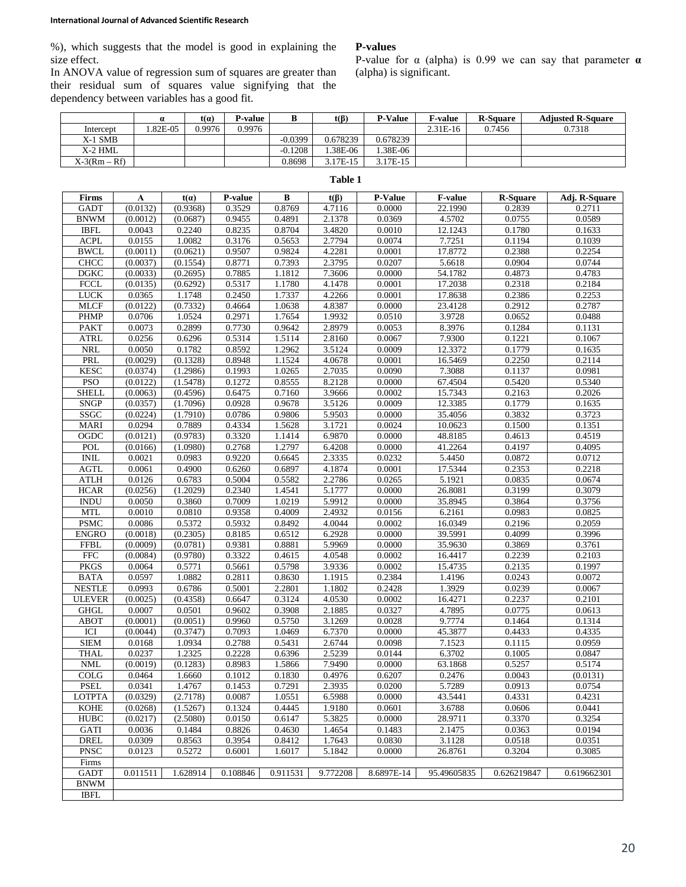#### **International Journal of Advanced Scientific Research**

%), which suggests that the model is good in explaining the size effect.

In ANOVA value of regression sum of squares are greater than their residual sum of squares value signifying that the dependency between variables has a good fit.

## **P-values**

P-value for α (alpha) is 0.99 we can say that parameter **α** (alpha) is significant.

|                |         | t(a)   | P-value |           | $t(\beta)$ | <b>P-Value</b> | <b>F-value</b> | <b>R-Square</b> | <b>Adjusted R-Square</b> |
|----------------|---------|--------|---------|-----------|------------|----------------|----------------|-----------------|--------------------------|
| Intercept      | .82E-05 | 0.9976 | 0.9976  |           |            |                | 2.31E-16       | 0.7456          | 0.7318                   |
| $X-1$ SMB      |         |        |         | $-0.0399$ | 0.678239   | 0.678239       |                |                 |                          |
| X-2 HML        |         |        |         | $-0.1208$ | .38E-06    | .38E-06        |                |                 |                          |
| $X-3(Rm - Rf)$ |         |        |         | 0.8698    | 3.17E-15   | 17E-15         |                |                 |                          |

| Table 1       |              |             |                  |                  |                  |                  |                |                  |               |  |  |  |
|---------------|--------------|-------------|------------------|------------------|------------------|------------------|----------------|------------------|---------------|--|--|--|
| Firms         | $\mathbf{A}$ | $t(\alpha)$ | P-value          | B                | $t(\beta)$       | P-Value          | <b>F-value</b> | <b>R-Square</b>  | Adj. R-Square |  |  |  |
| <b>GADT</b>   | (0.0132)     | (0.9368)    | 0.3529           | 0.8769           | 4.7116           | 0.0000           | 22.1990        | 0.2839           | 0.2711        |  |  |  |
| <b>BNWM</b>   | (0.0012)     | (0.0687)    | 0.9455           | 0.4891           | 2.1378           | 0.0369           | 4.5702         | 0.0755           | 0.0589        |  |  |  |
| <b>IBFL</b>   | 0.0043       | 0.2240      | 0.8235           | 0.8704           | 3.4820           | 0.0010           | 12.1243        | 0.1780           | 0.1633        |  |  |  |
| <b>ACPL</b>   | 0.0155       | 1.0082      | 0.3176           | 0.5653           | 2.7794           | 0.0074           | 7.7251         | 0.1194           | 0.1039        |  |  |  |
| <b>BWCL</b>   | (0.0011)     | (0.0621)    | 0.9507           | 0.9824           | 4.2281           | 0.0001           | 17.8772        | 0.2388           | 0.2254        |  |  |  |
| <b>CHCC</b>   | (0.0037)     | (0.1554)    | 0.8771           | 0.7393           | 2.3795           | 0.0207           | 5.6618         | 0.0904           | 0.0744        |  |  |  |
| <b>DGKC</b>   | (0.0033)     | (0.2695)    | 0.7885           | 1.1812           | 7.3606           | 0.0000           | 54.1782        | 0.4873           | 0.4783        |  |  |  |
| <b>FCCL</b>   | (0.0135)     | (0.6292)    | 0.5317           | 1.1780           | 4.1478           | 0.0001           | 17.2038        | 0.2318           | 0.2184        |  |  |  |
| <b>LUCK</b>   | 0.0365       | 1.1748      | 0.2450           | 1.7337           | 4.2266           | 0.0001           | 17.8638        | 0.2386           | 0.2253        |  |  |  |
| <b>MLCF</b>   | (0.0122)     | (0.7332)    | 0.4664           | 1.0638           | 4.8387           | 0.0000           | 23.4128        | 0.2912           | 0.2787        |  |  |  |
| <b>PHMP</b>   | 0.0706       | 1.0524      | 0.2971           | 1.7654           | 1.9932           | 0.0510           | 3.9728         | 0.0652           | 0.0488        |  |  |  |
| <b>PAKT</b>   | 0.0073       | 0.2899      | 0.7730           | 0.9642           | 2.8979           | 0.0053           | 8.3976         | 0.1284           | 0.1131        |  |  |  |
| <b>ATRL</b>   | 0.0256       | 0.6296      | 0.5314           | 1.5114           | 2.8160           | 0.0067           | 7.9300         | 0.1221           | 0.1067        |  |  |  |
| <b>NRL</b>    | 0.0050       | 0.1782      | 0.8592           | 1.2962           | 3.5124           | 0.0009           | 12.3372        | 0.1779           | 0.1635        |  |  |  |
| PRL           | (0.0029)     | (0.1328)    | 0.8948           | 1.1524           | 4.0678           | 0.0001           | 16.5469        | 0.2250           | 0.2114        |  |  |  |
| <b>KESC</b>   | (0.0374)     | (1.2986)    | 0.1993           | 1.0265           | 2.7035           | 0.0090           | 7.3088         | 0.1137           | 0.0981        |  |  |  |
| <b>PSO</b>    | (0.0122)     | (1.5478)    | 0.1272           | 0.8555           | 8.2128           | 0.0000           | 67.4504        | 0.5420           | 0.5340        |  |  |  |
| <b>SHELL</b>  | (0.0063)     | (0.4596)    | 0.6475           | 0.7160           | 3.9666           | 0.0002           | 15.7343        | 0.2163           | 0.2026        |  |  |  |
| SNGP          | (0.0357)     | (1.7096)    | 0.0928           | 0.9678           | 3.5126           | 0.0009           | 12.3385        | 0.1779           | 0.1635        |  |  |  |
| SSGC          | (0.0224)     | (1.7910)    | 0.0786           | 0.9806           | 5.9503           | 0.0000           | 35.4056        | 0.3832           | 0.3723        |  |  |  |
| <b>MARI</b>   | 0.0294       | 0.7889      | 0.4334           | 1.5628           | 3.1721           | 0.0024           | 10.0623        | 0.1500           | 0.1351        |  |  |  |
| OGDC          | (0.0121)     | (0.9783)    | 0.3320           | 1.1414           | 6.9870           | 0.0000           | 48.8185        | 0.4613           | 0.4519        |  |  |  |
| POL           | (0.0166)     | (1.0980)    | 0.2768           | 1.2797           | 6.4208           | 0.0000           | 41.2264        | 0.4197           | 0.4095        |  |  |  |
| $\text{INIL}$ | 0.0021       | 0.0983      | 0.9220           | 0.6645           | 2.3335           | 0.0232           | 5.4450         | 0.0872           | 0.0712        |  |  |  |
| <b>AGTL</b>   | 0.0061       | 0.4900      | 0.6260           | 0.6897           | 4.1874           | 0.0001           | 17.5344        | 0.2353           | 0.2218        |  |  |  |
| <b>ATLH</b>   | 0.0126       | 0.6783      | 0.5004           | 0.5582           | 2.2786           | 0.0265           | 5.1921         | 0.0835           | 0.0674        |  |  |  |
| <b>HCAR</b>   | (0.0256)     | (1.2029)    | 0.2340           | 1.4541           | 5.1777           | 0.0000           | 26.8081        | 0.3199           | 0.3079        |  |  |  |
| <b>INDU</b>   | 0.0050       | 0.3860      | 0.7009           | 1.0219           | 5.9912           | 0.0000           | 35.8945        | 0.3864           | 0.3756        |  |  |  |
| <b>MTL</b>    | 0.0010       | 0.0810      | 0.9358           | 0.4009           | 2.4932           |                  | 6.2161         |                  | 0.0825        |  |  |  |
|               |              |             |                  |                  |                  | 0.0156<br>0.0002 | 16.0349        | 0.0983<br>0.2196 |               |  |  |  |
| <b>PSMC</b>   | 0.0086       | 0.5372      | 0.5932<br>0.8185 | 0.8492<br>0.6512 | 4.0044<br>6.2928 | 0.0000           |                |                  | 0.2059        |  |  |  |
| <b>ENGRO</b>  | (0.0018)     | (0.2305)    |                  |                  |                  |                  | 39.5991        | 0.4099           | 0.3996        |  |  |  |
| <b>FFBL</b>   | (0.0009)     | (0.0781)    | 0.9381           | 0.8881           | 5.9969           | 0.0000           | 35.9630        | 0.3869           | 0.3761        |  |  |  |
| <b>FFC</b>    | (0.0084)     | (0.9780)    | 0.3322           | 0.4615           | 4.0548           | 0.0002           | 16.4417        | 0.2239           | 0.2103        |  |  |  |
| <b>PKGS</b>   | 0.0064       | 0.5771      | 0.5661           | 0.5798           | 3.9336           | 0.0002           | 15.4735        | 0.2135           | 0.1997        |  |  |  |
| <b>BATA</b>   | 0.0597       | 1.0882      | 0.2811           | 0.8630           | 1.1915           | 0.2384           | 1.4196         | 0.0243           | 0.0072        |  |  |  |
| <b>NESTLE</b> | 0.0993       | 0.6786      | 0.5001           | 2.2801           | 1.1802           | 0.2428           | 1.3929         | 0.0239           | 0.0067        |  |  |  |
| <b>ULEVER</b> | (0.0025)     | (0.4358)    | 0.6647           | 0.3124           | 4.0530           | 0.0002           | 16.4271        | 0.2237           | 0.2101        |  |  |  |
| <b>GHGL</b>   | 0.0007       | 0.0501      | 0.9602           | 0.3908           | 2.1885           | 0.0327           | 4.7895         | 0.0775           | 0.0613        |  |  |  |
| ABOT          | (0.0001)     | (0.0051)    | 0.9960           | 0.5750           | 3.1269           | 0.0028           | 9.7774         | 0.1464           | 0.1314        |  |  |  |
| ICI           | (0.0044)     | (0.3747)    | 0.7093           | 1.0469           | 6.7370           | 0.0000           | 45.3877        | 0.4433           | 0.4335        |  |  |  |
| <b>SIEM</b>   | 0.0168       | 1.0934      | 0.2788           | 0.5431           | 2.6744           | 0.0098           | 7.1523         | 0.1115           | 0.0959        |  |  |  |
| <b>THAL</b>   | 0.0237       | 1.2325      | 0.2228           | 0.6396           | 2.5239           | 0.0144           | 6.3702         | 0.1005           | 0.0847        |  |  |  |
| <b>NML</b>    | (0.0019)     | (0.1283)    | 0.8983           | 1.5866           | 7.9490           | 0.0000           | 63.1868        | 0.5257           | 0.5174        |  |  |  |
| COLG          | 0.0464       | 1.6660      | 0.1012           | 0.1830           | 0.4976           | 0.6207           | 0.2476         | 0.0043           | (0.0131)      |  |  |  |
| <b>PSEL</b>   | 0.0341       | 1.4767      | 0.1453           | 0.7291           | 2.3935           | 0.0200           | 5.7289         | 0.0913           | 0.0754        |  |  |  |
| <b>LOTPTA</b> | (0.0329)     | (2.7178)    | 0.0087           | 1.0551           | 6.5988           | 0.0000           | 43.5441        | 0.4331           | 0.4231        |  |  |  |
| <b>KOHE</b>   | (0.0268)     | (1.5267)    | 0.1324           | 0.4445           | 1.9180           | 0.0601           | 3.6788         | 0.0606           | 0.0441        |  |  |  |
| <b>HUBC</b>   | (0.0217)     | (2.5080)    | 0.0150           | 0.6147           | 5.3825           | 0.0000           | 28.9711        | 0.3370           | 0.3254        |  |  |  |
| GATI          | 0.0036       | 0.1484      | 0.8826           | 0.4630           | 1.4654           | 0.1483           | 2.1475         | 0.0363           | 0.0194        |  |  |  |
| <b>DREL</b>   | 0.0309       | 0.8563      | 0.3954           | 0.8412           | 1.7643           | 0.0830           | 3.1128         | 0.0518           | 0.0351        |  |  |  |
| <b>PNSC</b>   | 0.0123       | 0.5272      | 0.6001           | 1.6017           | 5.1842           | 0.0000           | 26.8761        | 0.3204           | 0.3085        |  |  |  |
| Firms         |              |             |                  |                  |                  |                  |                |                  |               |  |  |  |
| <b>GADT</b>   | 0.011511     | 1.628914    | 0.108846         | 0.911531         | 9.772208         | 8.6897E-14       | 95.49605835    | 0.626219847      | 0.619662301   |  |  |  |
| <b>BNWM</b>   |              |             |                  |                  |                  |                  |                |                  |               |  |  |  |
| <b>IBFL</b>   |              |             |                  |                  |                  |                  |                |                  |               |  |  |  |

# 20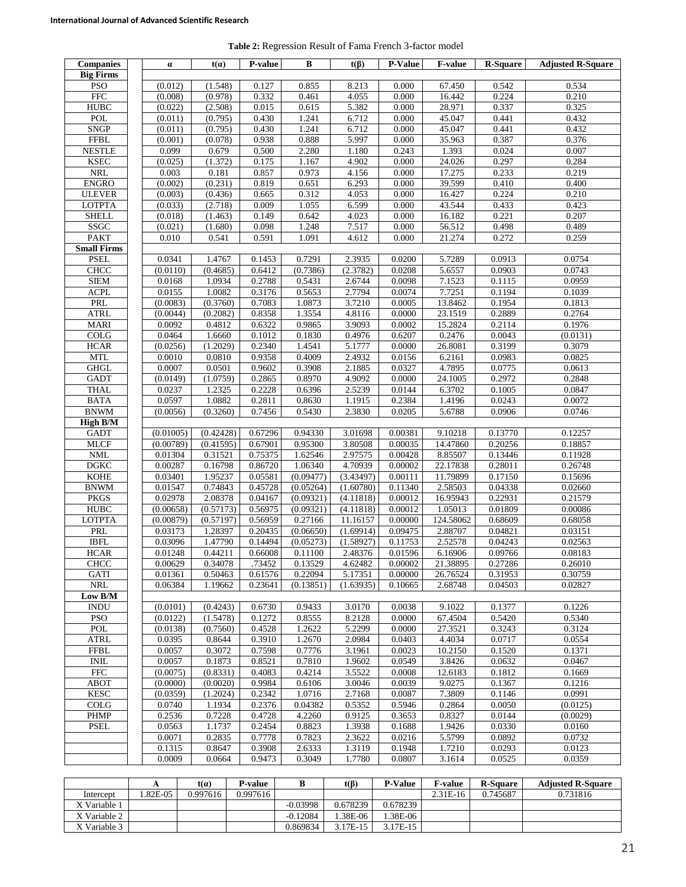**Table 2:** Regression Result of Fama French 3-factor model

| <b>Companies</b>     | $\alpha$  | t(a)      | <b>P-value</b>      | B         | $t(\beta)$ | <b>P-Value</b> | <b>F-value</b> | R-Square | <b>Adjusted R-Square</b> |
|----------------------|-----------|-----------|---------------------|-----------|------------|----------------|----------------|----------|--------------------------|
| <b>Big Firms</b>     |           |           |                     |           |            |                |                |          |                          |
| <b>PSO</b>           | (0.012)   | (1.548)   | 0.127               | 0.855     | 8.213      | 0.000          | 67.450         | 0.542    | 0.534                    |
| <b>FFC</b>           | (0.008)   | (0.978)   | 0.332               | 0.461     | 4.055      | 0.000          | 16.442         | 0.224    | 0.210                    |
| <b>HUBC</b>          | (0.022)   | (2.508)   | 0.015               | 0.615     | 5.382      | 0.000          | 28.971         | 0.337    | 0.325                    |
| POL                  | (0.011)   | (0.795)   | 0.430               | 1.241     | 6.712      | 0.000          | 45.047         | 0.441    | 0.432                    |
| <b>SNGP</b>          | (0.011)   | (0.795)   | 0.430               | 1.241     | 6.712      | 0.000          | 45.047         | 0.441    | 0.432                    |
| <b>FFBL</b>          | (0.001)   | (0.078)   | 0.938               | 0.888     | 5.997      | 0.000          | 35.963         | 0.387    | 0.376                    |
| <b>NESTLE</b>        | 0.099     | 0.679     | 0.500               | 2.280     | 1.180      | 0.243          | 1.393          | 0.024    | 0.007                    |
| <b>KSEC</b>          | (0.025)   | (1.372)   | 0.175               | 1.167     | 4.902      | 0.000          | 24.026         | 0.297    | 0.284                    |
| $\rm NRL$            | 0.003     | 0.181     | 0.857               | 0.973     | 4.156      | 0.000          | 17.275         | 0.233    | 0.219                    |
| <b>ENGRO</b>         | (0.002)   | (0.231)   | 0.819               | 0.651     | 6.293      | 0.000          | 39.599         | 0.410    | 0.400                    |
| <b>ULEVER</b>        | (0.003)   | (0.436)   | 0.665               | 0.312     | 4.053      | 0.000          | 16.427         | 0.224    | 0.210                    |
| <b>LOTPTA</b>        | (0.033)   | (2.718)   | 0.009               | 1.055     | 6.599      | 0.000          | 43.544         | 0.433    | 0.423                    |
| <b>SHELL</b>         | (0.018)   | (1.463)   | 0.149               | 0.642     | 4.023      | 0.000          | 16.182         | 0.221    | 0.207                    |
| SSGC                 | (0.021)   | (1.680)   | 0.098               | 1.248     | 7.517      | 0.000          | 56.512         | 0.498    | 0.489                    |
| <b>PAKT</b>          | 0.010     | 0.541     | 0.591               | 1.091     | 4.612      | 0.000          | 21.274         | 0.272    | 0.259                    |
| <b>Small Firms</b>   |           |           |                     |           |            |                |                |          |                          |
| <b>PSEL</b>          | 0.0341    | 1.4767    | 0.1453              | 0.7291    | 2.3935     | 0.0200         | 5.7289         | 0.0913   | 0.0754                   |
| <b>CHCC</b>          | (0.0110)  | (0.4685)  | 0.6412              | (0.7386)  | (2.3782)   | 0.0208         | 5.6557         | 0.0903   | 0.0743                   |
| <b>SIEM</b>          | 0.0168    | 1.0934    | 0.2788              | 0.5431    | 2.6744     | 0.0098         | 7.1523         | 0.1115   | 0.0959                   |
| <b>ACPL</b>          | 0.0155    | 1.0082    | $0.\overline{3176}$ | 0.5653    | 2.7794     | 0.0074         | 7.7251         | 0.1194   | 0.1039                   |
| PRL                  | (0.0083)  | (0.3760)  | 0.7083              | 1.0873    | 3.7210     | 0.0005         | 13.8462        | 0.1954   | 0.1813                   |
| <b>ATRL</b>          | (0.0044)  | (0.2082)  | 0.8358              | 1.3554    | 4.8116     | 0.0000         | 23.1519        | 0.2889   | 0.2764                   |
| <b>MARI</b>          | 0.0092    | 0.4812    | 0.6322              | 0.9865    | 3.9093     | 0.0002         | 15.2824        | 0.2114   | 0.1976                   |
| COLG                 | 0.0464    | 1.6660    | 0.1012              | 0.1830    | 0.4976     | 0.6207         | 0.2476         | 0.0043   | (0.0131)                 |
| <b>HCAR</b>          | (0.0256)  | (1.2029)  | 0.2340              | 1.4541    | 5.1777     | 0.0000         | 26.8081        | 0.3199   | 0.3079                   |
| $\operatorname{MTL}$ | 0.0010    | 0.0810    | 0.9358              | 0.4009    | 2.4932     | 0.0156         | 6.2161         | 0.0983   | 0.0825                   |
| <b>GHGL</b>          | 0.0007    | 0.0501    | 0.9602              | 0.3908    | 2.1885     | 0.0327         | 4.7895         | 0.0775   | 0.0613                   |
| <b>GADT</b>          | (0.0149)  | (1.0759)  | 0.2865              | 0.8970    | 4.9092     | 0.0000         | 24.1005        | 0.2972   | 0.2848                   |
| <b>THAL</b>          | 0.0237    | 1.2325    | 0.2228              | 0.6396    | 2.5239     | 0.0144         | 6.3702         | 0.1005   | 0.0847                   |
| <b>BATA</b>          | 0.0597    | 1.0882    | 0.2811              | 0.8630    | 1.1915     | 0.2384         | 1.4196         | 0.0243   | 0.0072                   |
| <b>BNWM</b>          | (0.0056)  | (0.3260)  | 0.7456              | 0.5430    | 2.3830     | 0.0205         | 5.6788         | 0.0906   | 0.0746                   |
| <b>High B/M</b>      |           |           |                     |           |            |                |                |          |                          |
| <b>GADT</b>          | (0.01005) | (0.42428) | 0.67296             | 0.94330   | 3.01698    | 0.00381        | 9.10218        | 0.13770  | 0.12257                  |
| <b>MLCF</b>          | (0.00789) | (0.41595) | 0.67901             | 0.95300   | 3.80508    | 0.00035        | 14.47860       | 0.20256  | 0.18857                  |
| NML                  | 0.01304   | 0.31521   | 0.75375             | 1.62546   | 2.97575    | 0.00428        | 8.85507        | 0.13446  | 0.11928                  |
| <b>DGKC</b>          | 0.00287   | 0.16798   | 0.86720             | 1.06340   | 4.70939    | 0.00002        | 22.17838       | 0.28011  | 0.26748                  |
| <b>KOHE</b>          | 0.03401   | 1.95237   | 0.05581             | (0.09477) | (3.43497)  | 0.00111        | 11.79899       | 0.17150  | 0.15696                  |
| <b>BNWM</b>          | 0.01547   | 0.74843   | 0.45728             | (0.05264) | (1.60780)  | 0.11340        | 2.58503        | 0.04338  | 0.02660                  |
| <b>PKGS</b>          | 0.02978   | 2.08378   | 0.04167             | (0.09321) | (4.11818)  | 0.00012        | 16.95943       | 0.22931  | 0.21579                  |
| <b>HUBC</b>          | (0.00658) | (0.57173) | 0.56975             | (0.09321) | (4.11818)  | 0.00012        | 1.05013        | 0.01809  | 0.00086                  |
| <b>LOTPTA</b>        | (0.00879) | (0.57197) | 0.56959             | 0.27166   | 11.16157   | 0.00000        | 124.58062      | 0.68609  | 0.68058                  |
| PRL                  | 0.03173   | 1.28397   | 0.20435             | (0.06650) | (1.69914)  | 0.09475        | 2.88707        | 0.04821  | 0.03151                  |
| <b>IBFL</b>          | 0.03096   | 1.47790   | 0.14494             | (0.05273) | (1.58927)  | 0.11753        | 2.52578        | 0.04243  | 0.02563                  |
| <b>HCAR</b>          | 0.01248   | 0.44211   | 0.66008             | 0.11100   | 2.48376    | 0.01596        | 6.16906        | 0.09766  | 0.08183                  |
| CHCC                 | 0.00629   | 0.34078   | .73452              | 0.13529   | 4.62482    | 0.00002        | 21.38895       | 0.27286  | 0.26010                  |
| <b>GATI</b>          | 0.01361   | 0.50463   | 0.61576             | 0.22094   | 5.17351    | 0.00000        | 26.76524       | 0.31953  | 0.30759                  |
| <b>NRL</b>           | 0.06384   | 1.19662   | 0.23641             | (0.13851) | (1.63935)  | 0.10665        | 2.68748        | 0.04503  | 0.02827                  |
| Low B/M              |           |           |                     |           |            |                |                |          |                          |
| <b>INDU</b>          | (0.0101)  | (0.4243)  | 0.6730              | 0.9433    | 3.0170     | 0.0038         | 9.1022         | 0.1377   | 0.1226                   |
| <b>PSO</b>           | (0.0122)  | (1.5478)  | 0.1272              | 0.8555    | 8.2128     | 0.0000         | 67.4504        | 0.5420   | 0.5340                   |
| POL                  | (0.0138)  | (0.7560)  | 0.4528              | 1.2622    | 5.2299     | 0.0000         | 27.3521        | 0.3243   | 0.3124                   |
| ATRL                 | 0.0395    | 0.8644    | 0.3910              | 1.2670    | 2.0984     | 0.0403         | 4.4034         | 0.0717   | 0.0554                   |
| ${\rm FFBL}$         | 0.0057    | 0.3072    | 0.7598              | 0.7776    | 3.1961     | 0.0023         | 10.2150        | 0.1520   | 0.1371                   |
| <b>INIL</b>          | 0.0057    | 0.1873    | 0.8521              | 0.7810    | 1.9602     | 0.0549         | 3.8426         | 0.0632   | 0.0467                   |
| ${\rm FFC}$          | (0.0075)  | (0.8331)  | 0.4083              | 0.4214    | 3.5522     | 0.0008         | 12.6183        | 0.1812   | 0.1669                   |
| <b>ABOT</b>          | (0.0000)  | (0.0020)  | 0.9984              | 0.6106    | 3.0046     | 0.0039         | 9.0275         | 0.1367   | 0.1216                   |
| <b>KESC</b>          | (0.0359)  | (1.2024)  | 0.2342              | 1.0716    | 2.7168     | 0.0087         | 7.3809         | 0.1146   | 0.0991                   |
| COLG                 | 0.0740    | 1.1934    | 0.2376              | 0.04382   | 0.5352     | 0.5946         | 0.2864         | 0.0050   | (0.0125)                 |
| <b>PHMP</b>          | 0.2536    | 0.7228    | 0.4728              | 4.2260    | 0.9125     | 0.3653         | 0.8327         | 0.0144   | (0.0029)                 |
| <b>PSEL</b>          | 0.0563    | 1.1737    | 0.2454              | 0.8823    | 1.3938     | 0.1688         | 1.9426         | 0.0330   | 0.0160                   |
|                      | 0.0071    | 0.2835    | 0.7778              | 0.7823    | 2.3622     | 0.0216         | 5.5799         | 0.0892   | 0.0732                   |
|                      | 0.1315    | 0.8647    | 0.3908              | 2.6333    | 1.3119     | 0.1948         | 1.7210         | 0.0293   | 0.0123                   |
|                      | 0.0009    | 0.0664    | 0.9473              | 0.3049    | 1.7780     | 0.0807         | 3.1614         | 0.0525   | 0.0359                   |

|              |             | $t(\alpha)$ | P-value  | B          | $t(\beta)$ | <b>P-Value</b> | <b>F-value</b> | <b>R-Square</b> | <b>Adjusted R-Square</b> |
|--------------|-------------|-------------|----------|------------|------------|----------------|----------------|-----------------|--------------------------|
| Intercept    | $.82E - 05$ | 0.997616    | 0.997616 |            |            |                | $2.31E-16$     | 0.745687        | 0.731816                 |
| X Variable 1 |             |             |          | $-0.03998$ | 0.678239   | 0.678239       |                |                 |                          |
| X Variable 2 |             |             |          | $-0.12084$ | .38E-06    | 1.38E-06       |                |                 |                          |
| X Variable 3 |             |             |          | 0.869834   | 3.17E-15   | $3.17E-15$     |                |                 |                          |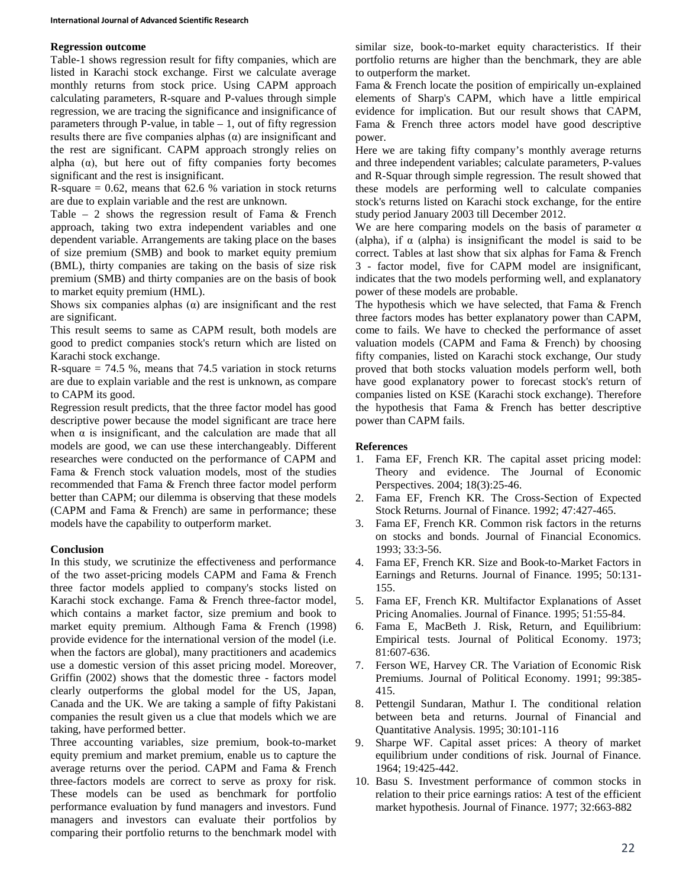#### **Regression outcome**

Table-1 shows regression result for fifty companies, which are listed in Karachi stock exchange. First we calculate average monthly returns from stock price. Using CAPM approach calculating parameters, R-square and P-values through simple regression, we are tracing the significance and insignificance of parameters through P-value, in table  $-1$ , out of fifty regression results there are five companies alphas (α) are insignificant and the rest are significant. CAPM approach strongly relies on alpha  $(\alpha)$ , but here out of fifty companies forty becomes significant and the rest is insignificant.

R-square  $= 0.62$ , means that 62.6 % variation in stock returns are due to explain variable and the rest are unknown.

Table – 2 shows the regression result of Fama  $\&$  French approach, taking two extra independent variables and one dependent variable. Arrangements are taking place on the bases of size premium (SMB) and book to market equity premium (BML), thirty companies are taking on the basis of size risk premium (SMB) and thirty companies are on the basis of book to market equity premium (HML).

Shows six companies alphas  $(\alpha)$  are insignificant and the rest are significant.

This result seems to same as CAPM result, both models are good to predict companies stock's return which are listed on Karachi stock exchange.

R-square  $= 74.5$  %, means that 74.5 variation in stock returns are due to explain variable and the rest is unknown, as compare to CAPM its good.

Regression result predicts, that the three factor model has good descriptive power because the model significant are trace here when  $\alpha$  is insignificant, and the calculation are made that all models are good, we can use these interchangeably. Different researches were conducted on the performance of CAPM and Fama & French stock valuation models, most of the studies recommended that Fama & French three factor model perform better than CAPM; our dilemma is observing that these models (CAPM and Fama & French) are same in performance; these models have the capability to outperform market.

# **Conclusion**

In this study, we scrutinize the effectiveness and performance of the two asset-pricing models CAPM and Fama & French three factor models applied to company's stocks listed on Karachi stock exchange. Fama & French three-factor model, which contains a market factor, size premium and book to market equity premium. Although Fama & French (1998) provide evidence for the international version of the model (i.e. when the factors are global), many practitioners and academics use a domestic version of this asset pricing model. Moreover, Griffin (2002) shows that the domestic three - factors model clearly outperforms the global model for the US, Japan, Canada and the UK. We are taking a sample of fifty Pakistani companies the result given us a clue that models which we are taking, have performed better.

Three accounting variables, size premium, book-to-market equity premium and market premium, enable us to capture the average returns over the period. CAPM and Fama & French three-factors models are correct to serve as proxy for risk. These models can be used as benchmark for portfolio performance evaluation by fund managers and investors. Fund managers and investors can evaluate their portfolios by comparing their portfolio returns to the benchmark model with similar size, book-to-market equity characteristics. If their portfolio returns are higher than the benchmark, they are able to outperform the market.

Fama & French locate the position of empirically un-explained elements of Sharp's CAPM, which have a little empirical evidence for implication. But our result shows that CAPM, Fama & French three actors model have good descriptive power.

Here we are taking fifty company's monthly average returns and three independent variables; calculate parameters, P-values and R-Squar through simple regression. The result showed that these models are performing well to calculate companies stock's returns listed on Karachi stock exchange, for the entire study period January 2003 till December 2012.

We are here comparing models on the basis of parameter  $\alpha$ (alpha), if  $\alpha$  (alpha) is insignificant the model is said to be correct. Tables at last show that six alphas for Fama & French 3 - factor model, five for CAPM model are insignificant, indicates that the two models performing well, and explanatory power of these models are probable.

The hypothesis which we have selected, that Fama & French three factors modes has better explanatory power than CAPM, come to fails. We have to checked the performance of asset valuation models (CAPM and Fama & French) by choosing fifty companies, listed on Karachi stock exchange, Our study proved that both stocks valuation models perform well, both have good explanatory power to forecast stock's return of companies listed on KSE (Karachi stock exchange). Therefore the hypothesis that Fama & French has better descriptive power than CAPM fails.

# **References**

- 1. Fama EF, French KR. The capital asset pricing model: Theory and evidence. The Journal of Economic Perspectives. 2004; 18(3):25-46.
- 2. Fama EF, French KR. The Cross-Section of Expected Stock Returns. Journal of Finance. 1992; 47:427-465.
- 3. Fama EF, French KR. Common risk factors in the returns on stocks and bonds. Journal of Financial Economics. 1993; 33:3-56.
- 4. Fama EF, French KR. Size and Book-to-Market Factors in Earnings and Returns. Journal of Finance*.* 1995; 50:131- 155.
- 5. Fama EF, French KR. Multifactor Explanations of Asset Pricing Anomalies. Journal of Finance. 1995; 51:55-84.
- 6. Fama E, MacBeth J. Risk, Return, and Equilibrium: Empirical tests. Journal of Political Economy. 1973; 81:607-636.
- 7. Ferson WE, Harvey CR. The Variation of Economic Risk Premiums. Journal of Political Economy. 1991; 99:385- 415.
- 8. Pettengil Sundaran, Mathur I. The conditional relation between beta and returns. Journal of Financial and Quantitative Analysis. 1995; 30:101-116
- 9. Sharpe WF. Capital asset prices: A theory of market equilibrium under conditions of risk. Journal of Finance. 1964; 19:425-442.
- 10. Basu S. Investment performance of common stocks in relation to their price earnings ratios: A test of the efficient market hypothesis. Journal of Finance. 1977; 32:663-882